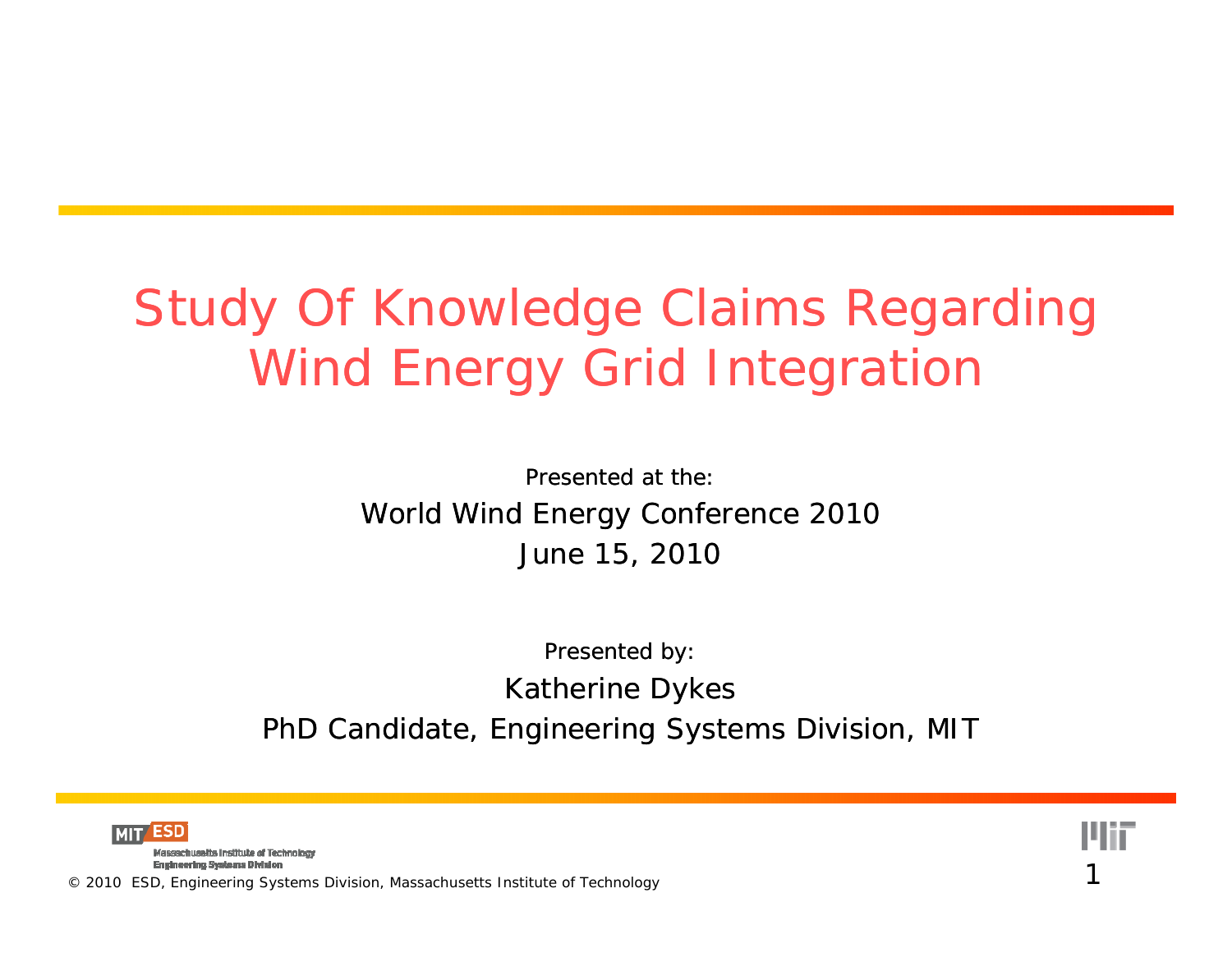#### Study Of Knowledge Claims Regarding Wind Energy Grid Integration

Presented at the:World Wind Energy Conference 2010 June 15, 2010

Presented by: Katherine Dykes PhD Candidate, Engineering Systems Division, MIT

1

ESD

Massachusetts Institute of Technology **Engineering Systems Division**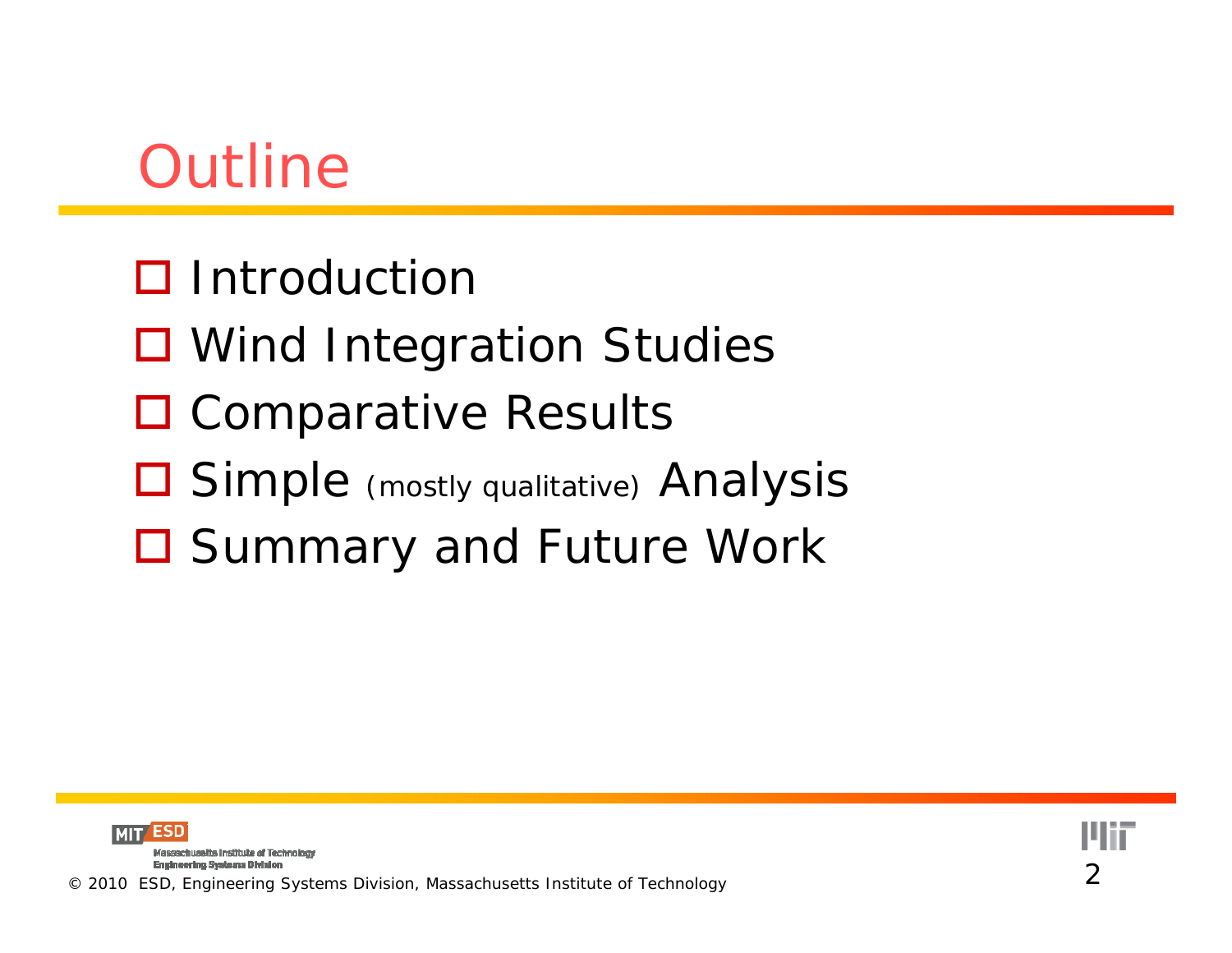### **Outline**

- $\square$  Introduction
- **O** Wind Integration Studies
- □ Comparative Results
- Simple *(mostly qualitative)* Analysis
- □ Summary and Future Work

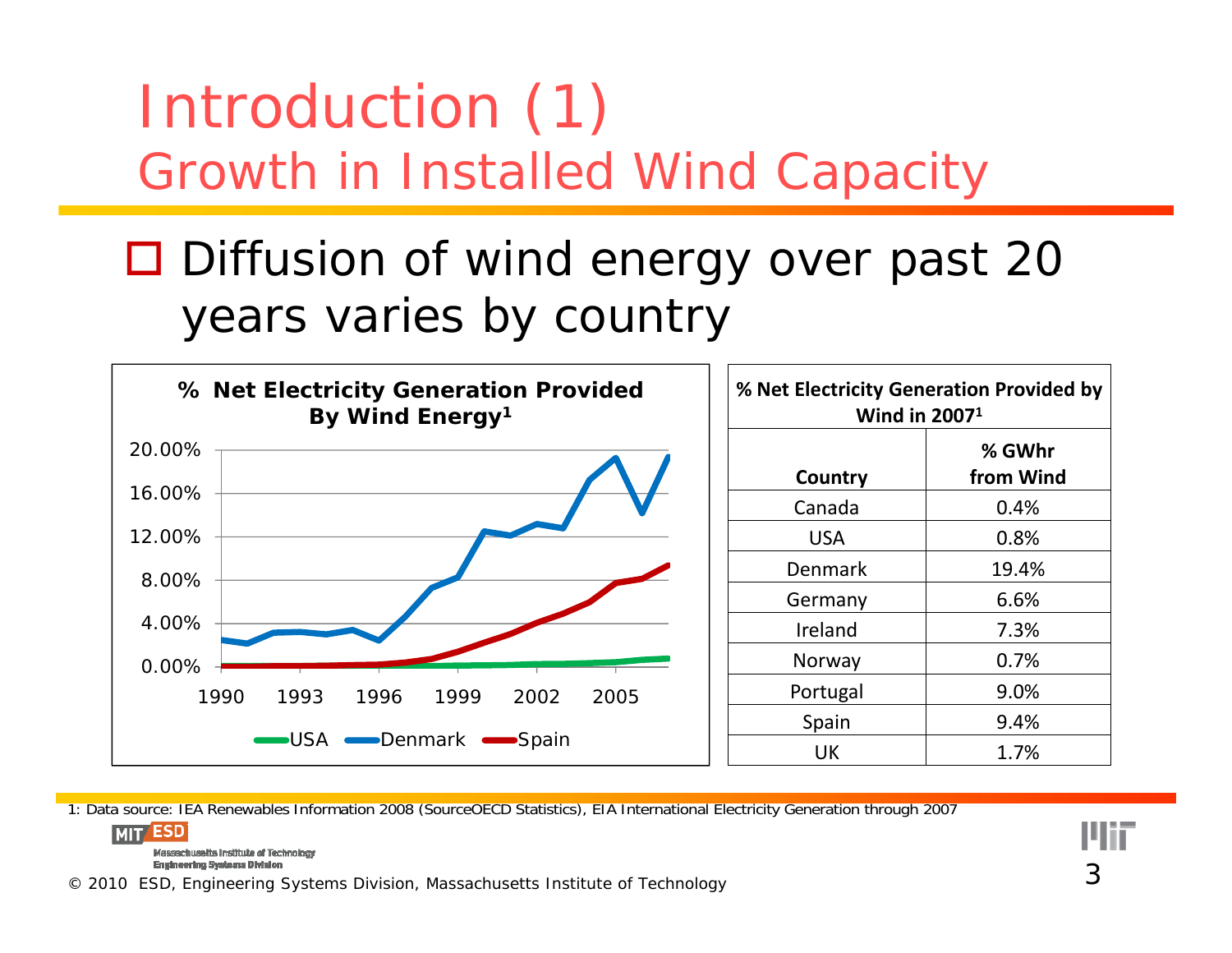### Introduction (1) Growth in Installed Wind Capacity

#### □ Diffusion of wind energy over past 20 years varies by country



1: Data source: IEA Renewables Information 2008 (SourceOECD Statistics), EIA International Electricity Generation through 2007 **MIT** ESD

Massachusetts Institute of Technology **Engineering Systems Division** 

© 2010 ESD, Engineering Systems Division, Massachusetts Institute of Technology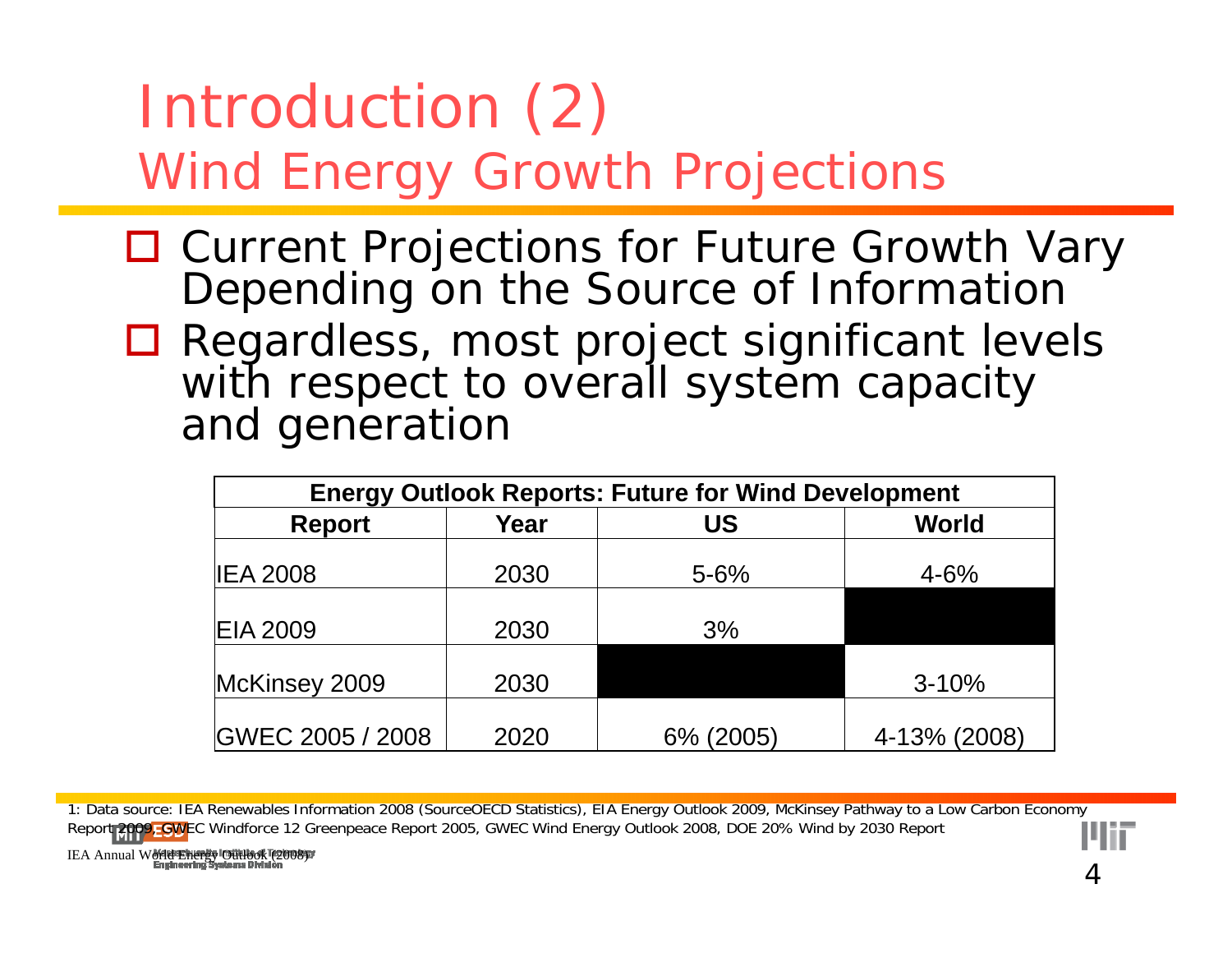#### Introduction (2) Wind Energy Growth Projections

- **□ Current Projections for Future Growth Vary** Depending on the Source of Information
- **□ Regardless, most project significant levels** with respect to overall system capacity and generatior

| <b>Energy Outlook Reports: Future for Wind Development</b> |      |           |              |  |  |  |  |  |  |
|------------------------------------------------------------|------|-----------|--------------|--|--|--|--|--|--|
| <b>Report</b>                                              | Year | <b>US</b> | <b>World</b> |  |  |  |  |  |  |
| <b>IEA 2008</b>                                            | 2030 | $5 - 6%$  | $4 - 6%$     |  |  |  |  |  |  |
| <b>EIA 2009</b>                                            | 2030 | 3%        |              |  |  |  |  |  |  |
| McKinsey 2009                                              | 2030 |           | $3 - 10%$    |  |  |  |  |  |  |
| GWEC 2005 / 2008                                           | 2020 | 6% (2005) | 4-13% (2008) |  |  |  |  |  |  |

1: Data source: IEA Renewables Information 2008 (SourceOECD Statistics), EIA Energy Outlook 2009, McKinsey Pathway to a Low Carbon Economy Report 2009, GWEC Windforce 12 Greenpeace Report 2005, GWEC Wind Energy Outlook 2008, DOE 20% Wind by 2030 Report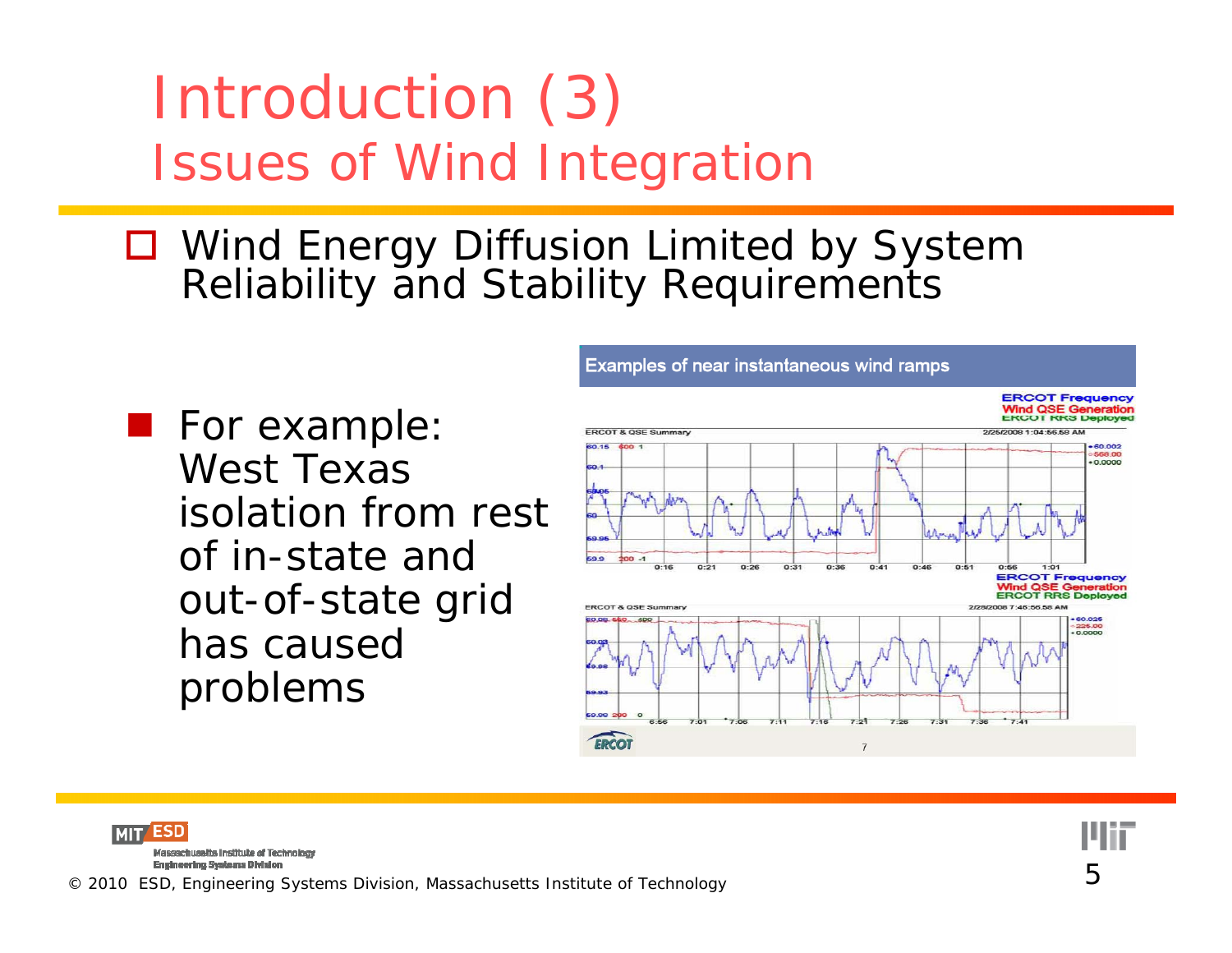#### Introduction (3) Issues of Wind Integration

- Wind Energy Diffusion Limited by System Reliability and Stability Requirements
- **For example:** West Texas isolation from rest of in-state and out-of-state grid has caused problems



**Examples of near instantaneous wind ramps** 

**MIT ESD** Massachusetts Institute of Technology **Engineering Systems Division** 

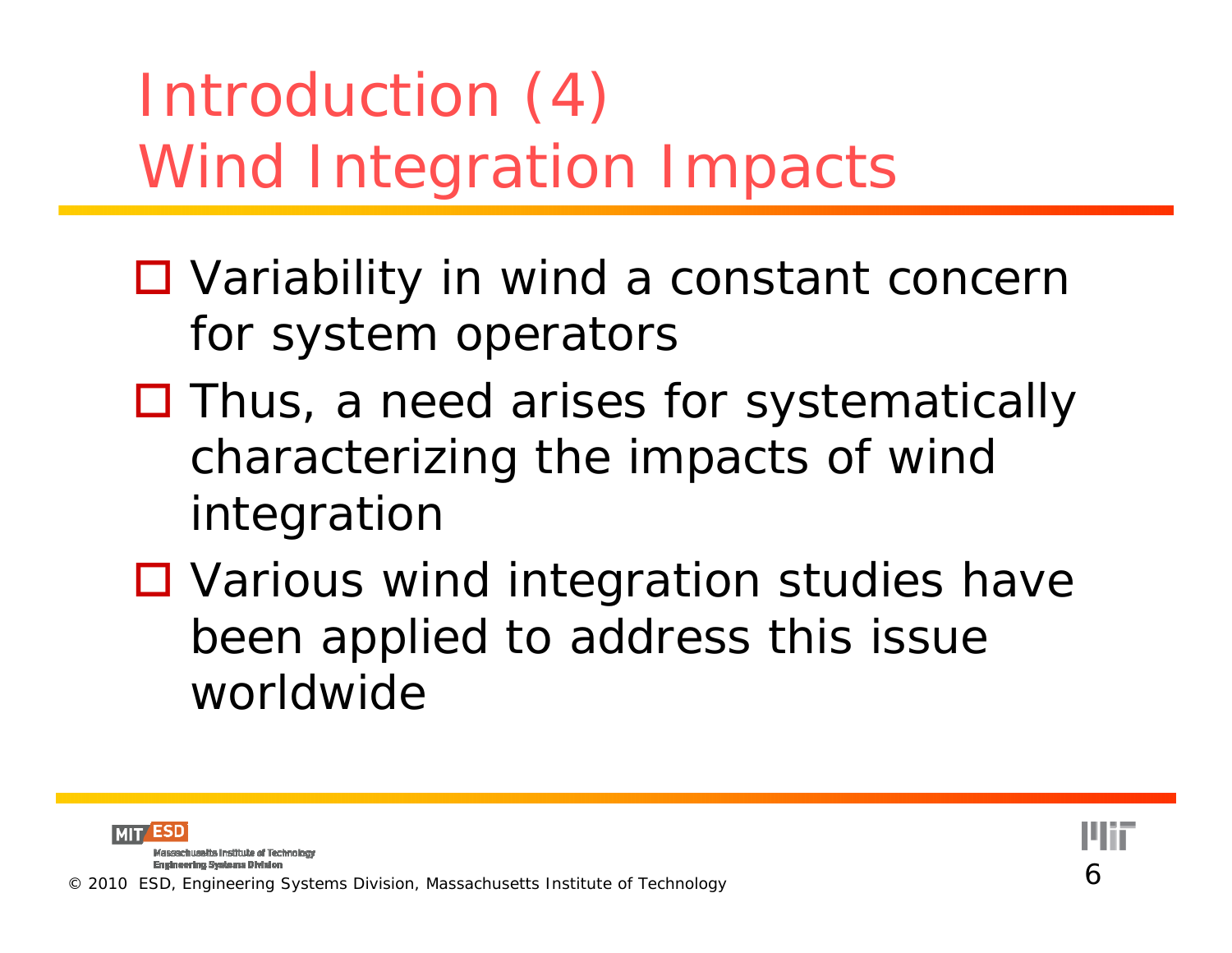# Introduction (4) Wind Integration Impacts

- □ Variability in wind a constant concern for system operators
- □ Thus, a need arises for systematically characterizing the impacts of wind inte gration
- □ Various wind integration studies have been applied to address this issue worldwide



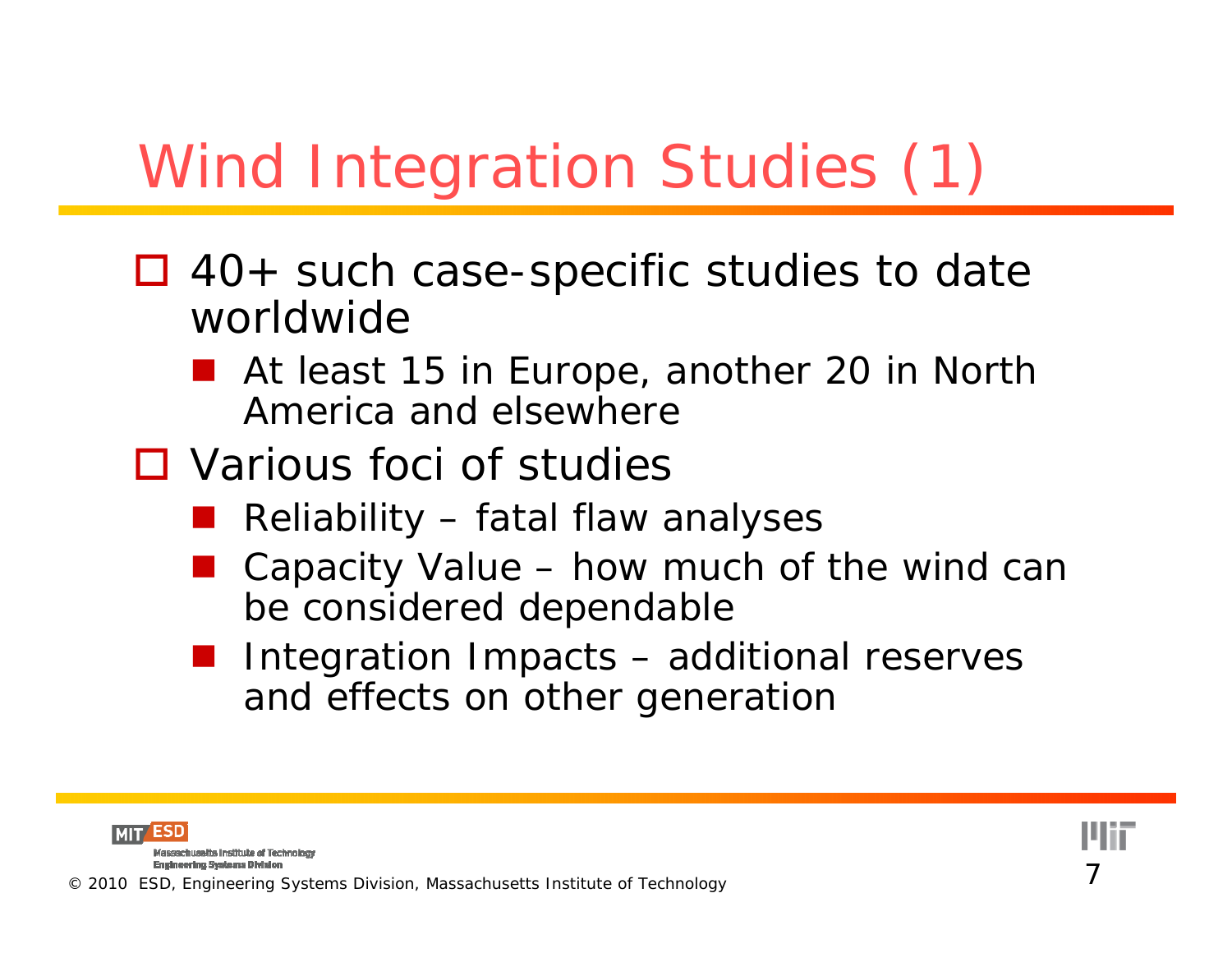# Wind Integration Studies (1)

- □ 40+ such case-specific studies to date worldwide
	- At least 15 in Europe, another 20 in North America and elsewhere
- □ Various foci of studies
	- ■ Reliability – fatal flaw analyses
	- Capacity Value – how much of the wind can be considered dependable
	- **Contract Integration Impacts** – additional reserves and effects on other generation



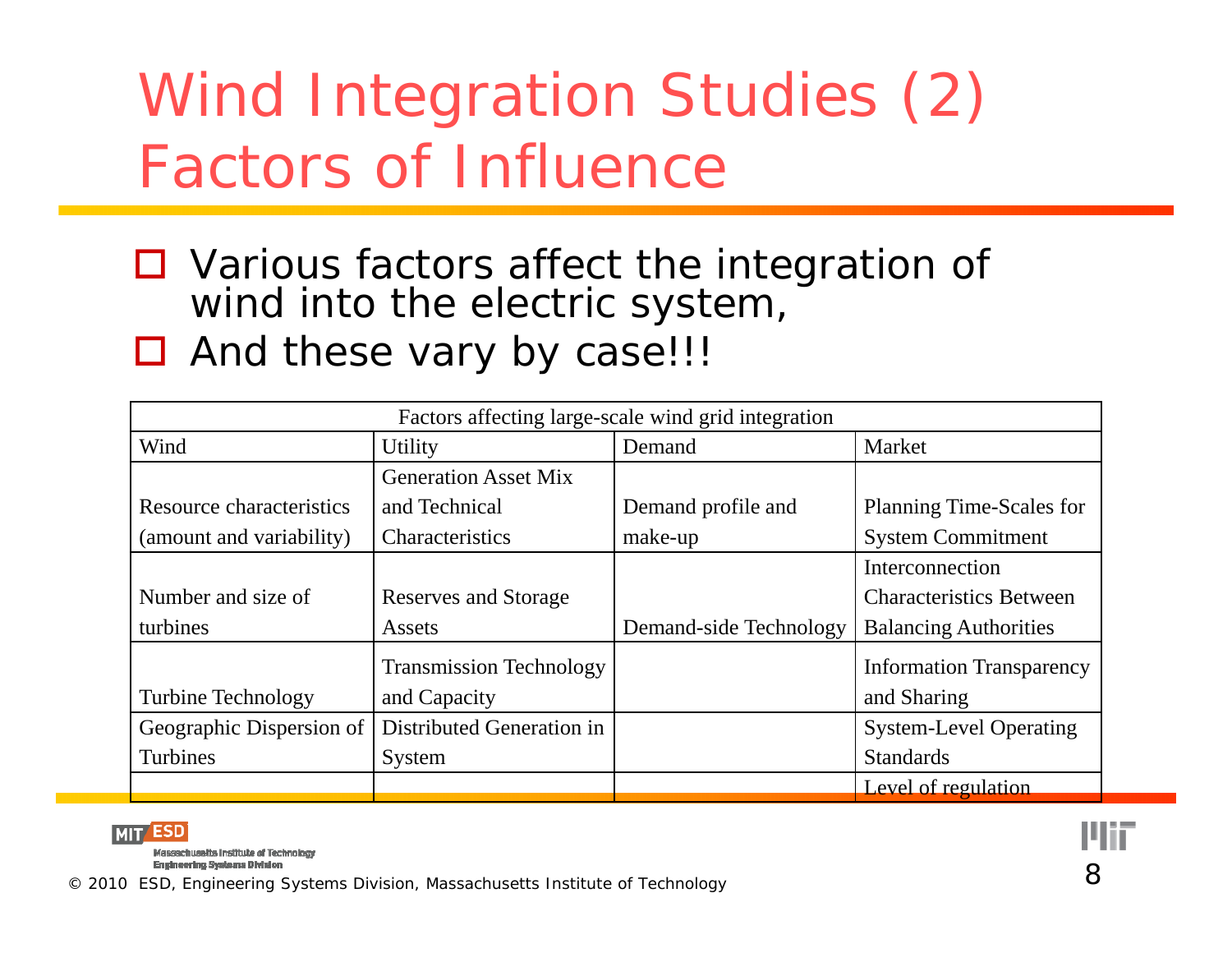# Wind Integration Studies (2) Factors of Influence

- Various factors affect the integration of wind into the electric system,
- □ And these vary by case!!!

| Factors affecting large-scale wind grid integration |                                |                        |                                 |  |  |  |  |  |
|-----------------------------------------------------|--------------------------------|------------------------|---------------------------------|--|--|--|--|--|
| Wind                                                | Utility                        | Demand                 | Market                          |  |  |  |  |  |
|                                                     | <b>Generation Asset Mix</b>    |                        |                                 |  |  |  |  |  |
| Resource characteristics                            | and Technical                  | Demand profile and     | Planning Time-Scales for        |  |  |  |  |  |
| (amount and variability)                            | Characteristics                | make-up                | <b>System Commitment</b>        |  |  |  |  |  |
|                                                     |                                |                        | Interconnection                 |  |  |  |  |  |
| Number and size of                                  | Reserves and Storage           |                        | <b>Characteristics Between</b>  |  |  |  |  |  |
| turbines                                            | Assets                         | Demand-side Technology | <b>Balancing Authorities</b>    |  |  |  |  |  |
|                                                     | <b>Transmission Technology</b> |                        | <b>Information Transparency</b> |  |  |  |  |  |
| <b>Turbine Technology</b>                           | and Capacity                   |                        | and Sharing                     |  |  |  |  |  |
| Geographic Dispersion of                            | Distributed Generation in      |                        | <b>System-Level Operating</b>   |  |  |  |  |  |
| Turbines                                            | System                         |                        | <b>Standards</b>                |  |  |  |  |  |
|                                                     |                                |                        | Level of regulation             |  |  |  |  |  |



Massachusetts Institute of Technology **Engineering Systems Division** 

© 2010 ESD, Engineering Systems Division, Massachusetts Institute of Technology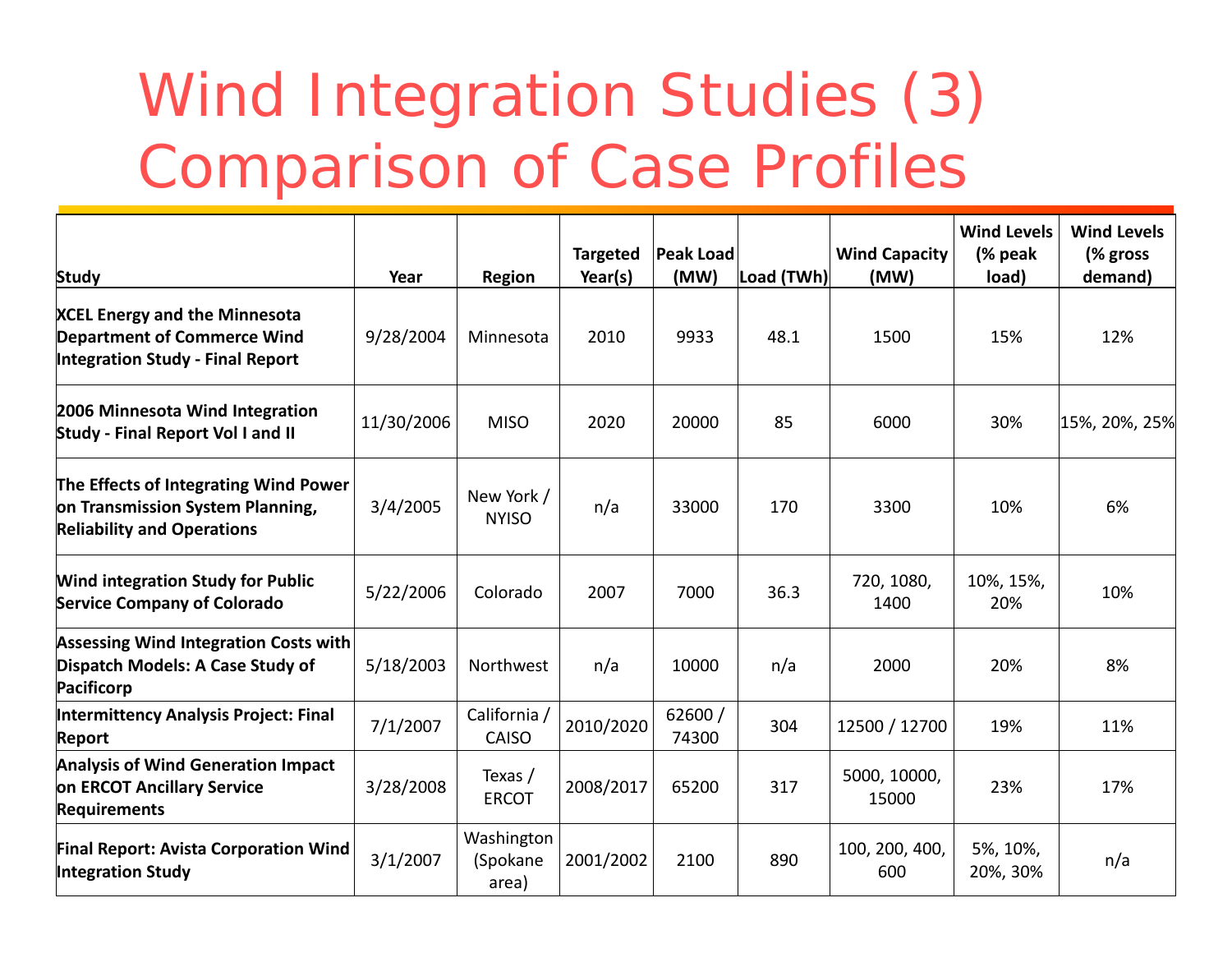# Wind Integration Studies (3) Comparison of Case Profiles

| <b>Study</b>                                                                                                          | Year       | <b>Region</b>                   | <b>Targeted</b><br>Year(s) | <b>Peak Load</b><br>(MW) | Load (TWh) | <b>Wind Capacity</b><br>(MW) | <b>Wind Levels</b><br>(% peak)<br>load) | <b>Wind Levels</b><br>(% gross<br>demand) |
|-----------------------------------------------------------------------------------------------------------------------|------------|---------------------------------|----------------------------|--------------------------|------------|------------------------------|-----------------------------------------|-------------------------------------------|
| <b>XCEL Energy and the Minnesota</b><br><b>Department of Commerce Wind</b><br><b>Integration Study - Final Report</b> | 9/28/2004  | Minnesota                       | 2010                       | 9933                     | 48.1       | 1500                         | 15%                                     | 12%                                       |
| 2006 Minnesota Wind Integration<br><b>Study - Final Report Vol I and II</b>                                           | 11/30/2006 | <b>MISO</b>                     | 2020                       | 20000                    | 85         | 6000                         | 30%                                     | 15%, 20%, 25%                             |
| The Effects of Integrating Wind Power<br>on Transmission System Planning,<br><b>Reliability and Operations</b>        | 3/4/2005   | New York /<br><b>NYISO</b>      | n/a                        | 33000                    | 170        | 3300                         | 10%                                     | 6%                                        |
| <b>Wind integration Study for Public</b><br><b>Service Company of Colorado</b>                                        | 5/22/2006  | Colorado                        | 2007                       | 7000                     | 36.3       | 720, 1080,<br>1400           | 10%, 15%,<br>20%                        | 10%                                       |
| <b>Assessing Wind Integration Costs with</b><br>Dispatch Models: A Case Study of<br><b>Pacificorp</b>                 | 5/18/2003  | Northwest                       | n/a                        | 10000                    | n/a        | 2000                         | 20%                                     | 8%                                        |
| <b>Intermittency Analysis Project: Final</b><br><b>Report</b>                                                         | 7/1/2007   | California /<br><b>CAISO</b>    | 2010/2020                  | 62600 /<br>74300         | 304        | 12500 / 12700                | 19%                                     | 11%                                       |
| <b>Analysis of Wind Generation Impact</b><br>on ERCOT Ancillary Service<br><b>Requirements</b>                        | 3/28/2008  | Texas /<br><b>ERCOT</b>         | 2008/2017                  | 65200                    | 317        | 5000, 10000,<br>15000        | 23%                                     | 17%                                       |
| <b>Final Report: Avista Corporation Wind</b><br><b>Integration Study</b>                                              | 3/1/2007   | Washington<br>(Spokane<br>area) | 2001/2002                  | 2100                     | 890        | 100, 200, 400,<br>600        | 5%, 10%,<br>20%, 30%                    | n/a                                       |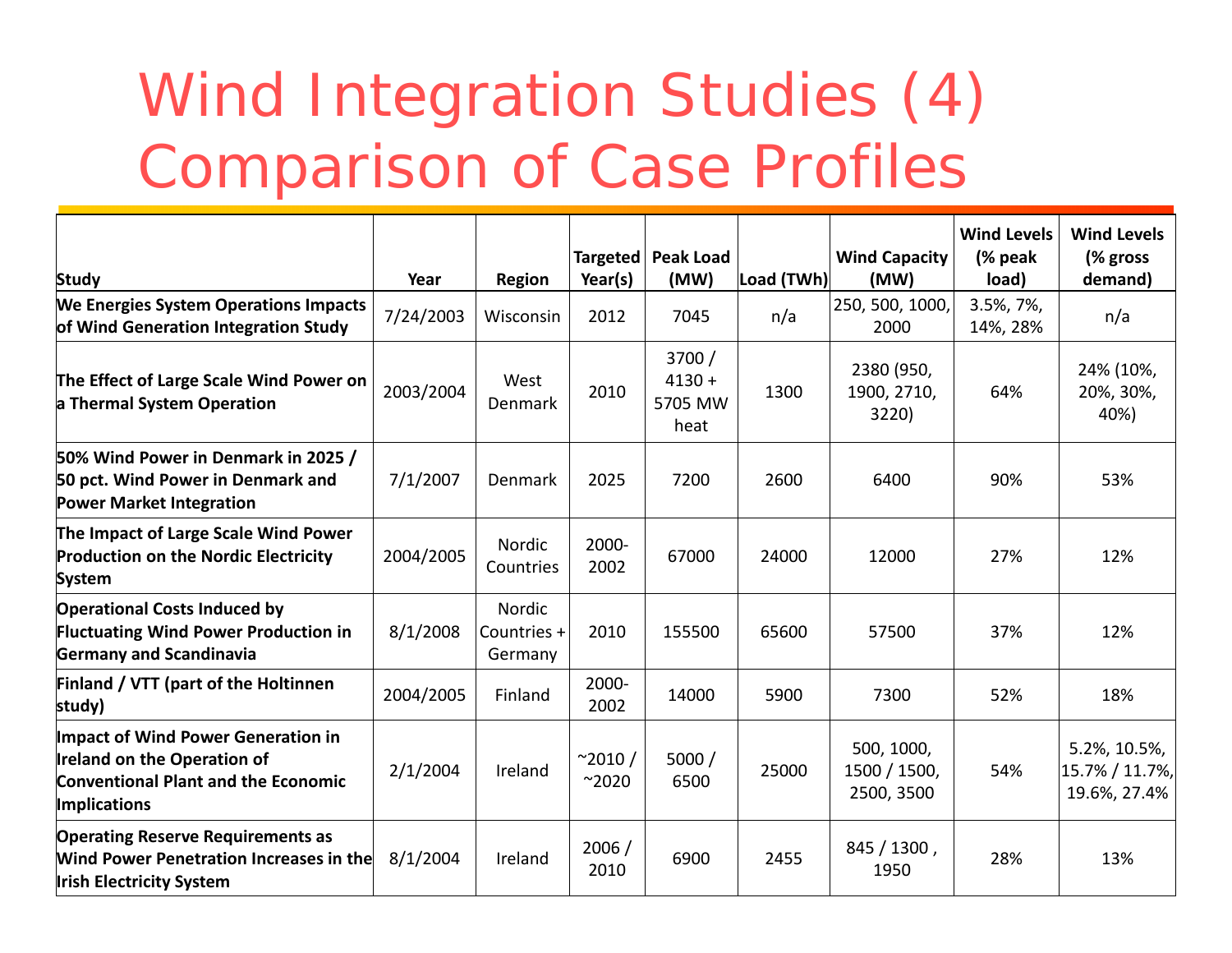# Wind Integration Studies (4) Comparison of Case Profiles

| <b>Study</b>                                                                                                                                         | Year      | <b>Region</b>                    | Year(s)                         | Targeted   Peak Load<br>(MW)          | Load (TWh) | <b>Wind Capacity</b><br>(MW)             | <b>Wind Levels</b><br>(% peak)<br>load) | <b>Wind Levels</b><br>(% gross)<br>demand)     |
|------------------------------------------------------------------------------------------------------------------------------------------------------|-----------|----------------------------------|---------------------------------|---------------------------------------|------------|------------------------------------------|-----------------------------------------|------------------------------------------------|
| <b>We Energies System Operations Impacts</b><br>of Wind Generation Integration Study                                                                 | 7/24/2003 | Wisconsin                        | 2012                            | 7045                                  | n/a        | 250, 500, 1000,<br>2000                  | 3.5%, 7%,<br>14%, 28%                   | n/a                                            |
| The Effect of Large Scale Wind Power on<br>a Thermal System Operation                                                                                | 2003/2004 | West<br>Denmark                  | 2010                            | 3700 /<br>$4130 +$<br>5705 MW<br>heat | 1300       | 2380 (950,<br>1900, 2710,<br>3220)       | 64%                                     | 24% (10%,<br>20%, 30%,<br>40%)                 |
| 50% Wind Power in Denmark in 2025 /<br>50 pct. Wind Power in Denmark and<br><b>Power Market Integration</b>                                          | 7/1/2007  | Denmark                          | 2025                            | 7200                                  | 2600       | 6400                                     | 90%                                     | 53%                                            |
| The Impact of Large Scale Wind Power<br><b>Production on the Nordic Electricity</b><br><b>System</b>                                                 | 2004/2005 | Nordic<br>Countries              | 2000-<br>2002                   | 67000                                 | 24000      | 12000                                    | 27%                                     | 12%                                            |
| <b>Operational Costs Induced by</b><br><b>Fluctuating Wind Power Production in</b><br><b>Germany and Scandinavia</b>                                 | 8/1/2008  | Nordic<br>Countries +<br>Germany | 2010                            | 155500                                | 65600      | 57500                                    | 37%                                     | 12%                                            |
| <b>Finland / VTT (part of the Holtinnen</b><br>study)                                                                                                | 2004/2005 | Finland                          | 2000-<br>2002                   | 14000                                 | 5900       | 7300                                     | 52%                                     | 18%                                            |
| <b>Impact of Wind Power Generation in</b><br><b>Ireland on the Operation of</b><br><b>Conventional Plant and the Economic</b><br><b>Implications</b> | 2/1/2004  | Ireland                          | $^{\sim}2010/$<br>$^{\sim}2020$ | 5000/<br>6500                         | 25000      | 500, 1000,<br>1500 / 1500,<br>2500, 3500 | 54%                                     | 5.2%, 10.5%,<br>15.7% / 11.7%,<br>19.6%, 27.4% |
| <b>Operating Reserve Requirements as</b><br><b>Wind Power Penetration Increases in the</b><br><b>Irish Electricity System</b>                        | 8/1/2004  | Ireland                          | 2006/<br>2010                   | 6900                                  | 2455       | 845 / 1300,<br>1950                      | 28%                                     | 13%                                            |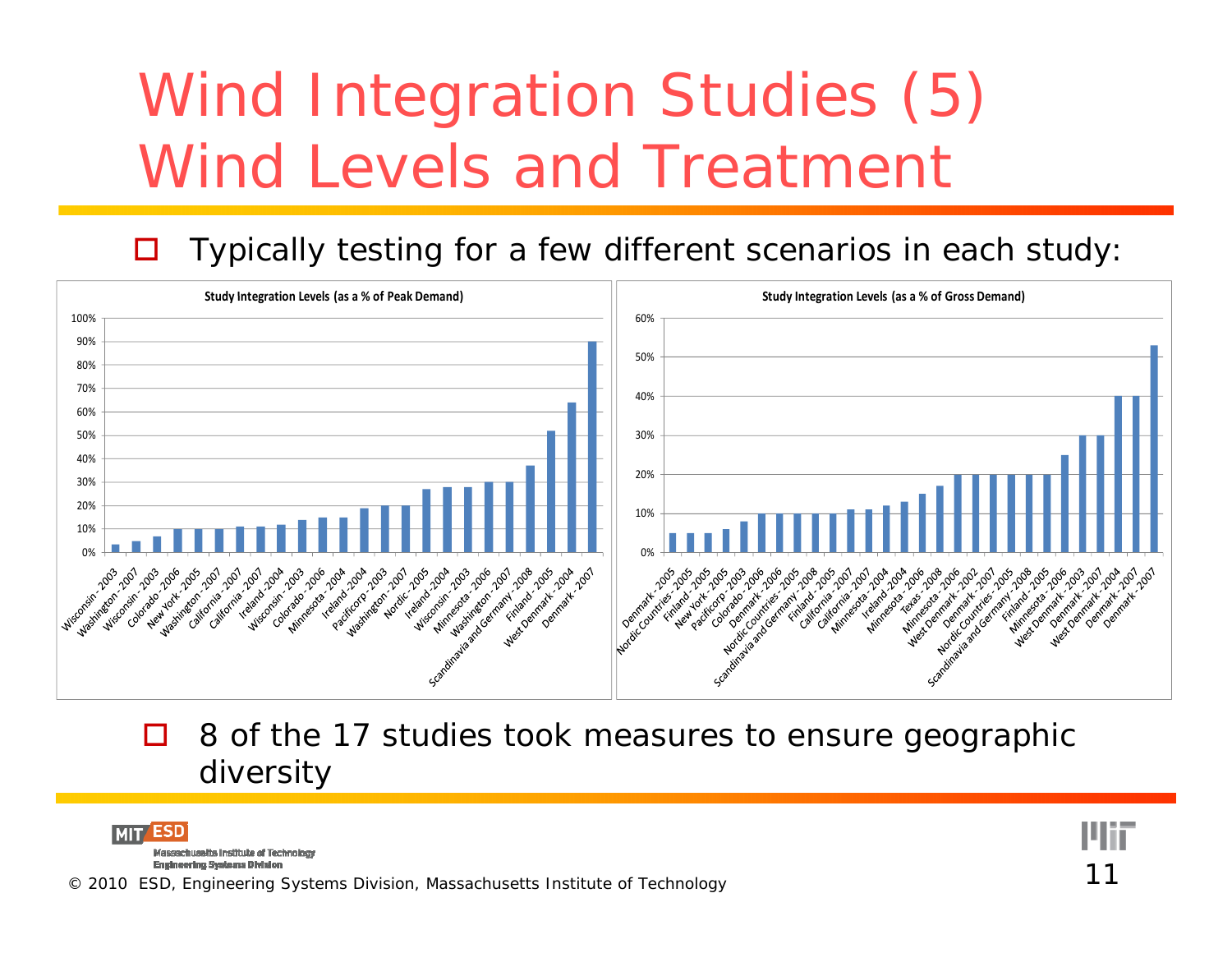# Wind Integration Studies (5) Wind Levels and Treatment

#### $\Box$ Typically testing for a few different scenarios in each study:



П 8 of the 17 studies took measures to ensure geographic diversity

ESD **MIT** Massachusetts Institute of Technology

Engineering Systems Division<br>© 2010 ESD, Engineering Systems Division, Massachusetts Institute of Technology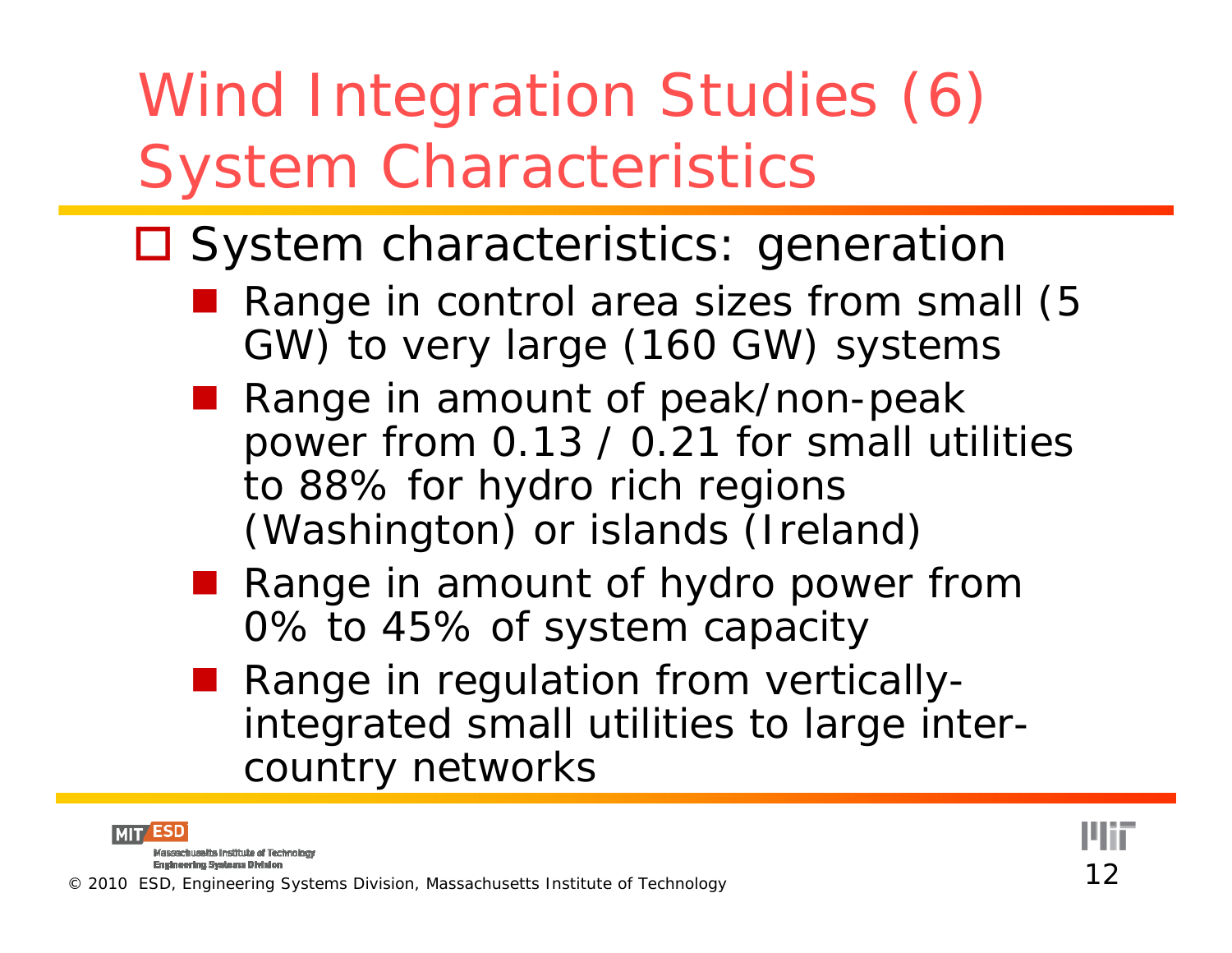# Wind Integration Studies (6) System Characteristics

#### □ System characteristics: generation

- Range in control area sizes from small (5 GW) to very large (160 GW) systems
- ■ Range in amount of peak/non-peak power from 0.13 / 0.21 for small utilities to 88% for hydro rich regions (Washington) or islands (Ireland)
- Range in amount of hydro power from 0% to 45% of system capacity
- Range in regulation from verticallyintegrated small utilities to large intercountry networks

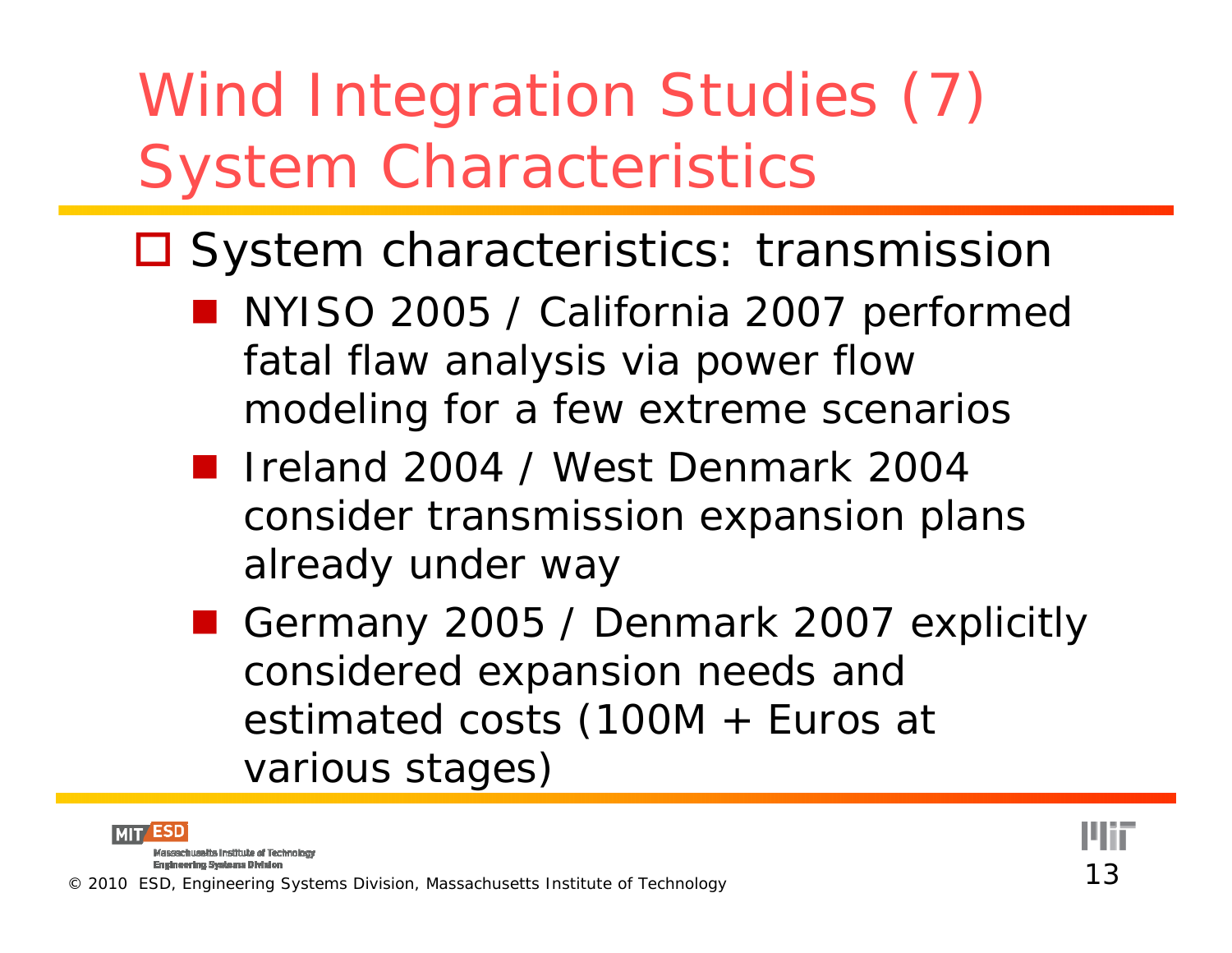# Wind Integration Studies (7) System Characteristics

- □ System characteristics: transmission
	- NYISO 2005 / California 2007 performed fatal flaw analysis via power flow modeling for a few extreme scenarios
	- Ireland 2004 / West Denmark 2004 consider transmission expansion plans already under way
	- Germany 2005 / Denmark 2007 explicitly considered expansion needs anc estimated costs (100M + Euros at various stages)



Massachusetts Institute of Technology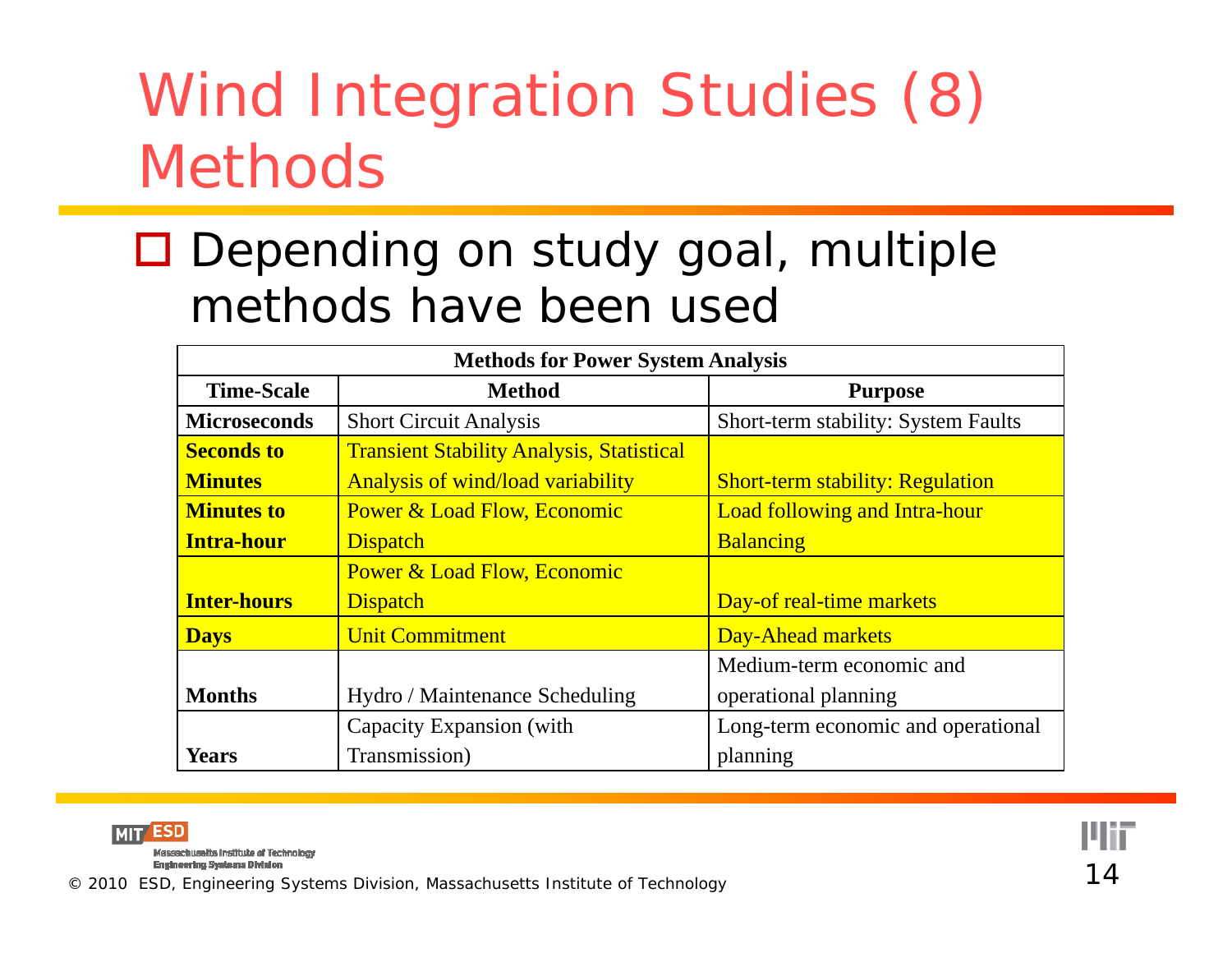## Wind Integration Studies (8) Methods

#### □ Depending on study goal, multiple methods have been usec

| <b>Methods for Power System Analysis</b> |                                                  |                                            |  |  |  |  |  |
|------------------------------------------|--------------------------------------------------|--------------------------------------------|--|--|--|--|--|
| <b>Time-Scale</b>                        | <b>Method</b>                                    | <b>Purpose</b>                             |  |  |  |  |  |
| <b>Microseconds</b>                      | <b>Short Circuit Analysis</b>                    | <b>Short-term stability: System Faults</b> |  |  |  |  |  |
| <b>Seconds to</b>                        | <b>Transient Stability Analysis, Statistical</b> |                                            |  |  |  |  |  |
| <b>Minutes</b>                           | <b>Analysis of wind/load variability</b>         | <b>Short-term stability: Regulation</b>    |  |  |  |  |  |
| <b>Minutes to</b>                        | <b>Power &amp; Load Flow, Economic</b>           | <b>Load following and Intra-hour</b>       |  |  |  |  |  |
| <b>Intra-hour</b>                        | <b>Dispatch</b>                                  | <b>Balancing</b>                           |  |  |  |  |  |
|                                          | <b>Power &amp; Load Flow, Economic</b>           |                                            |  |  |  |  |  |
| <b>Inter-hours</b>                       | <b>Dispatch</b>                                  | Day-of real-time markets                   |  |  |  |  |  |
| <b>Days</b>                              | <b>Unit Commitment</b>                           | Day-Ahead markets                          |  |  |  |  |  |
|                                          |                                                  | Medium-term economic and                   |  |  |  |  |  |
| <b>Months</b>                            | Hydro / Maintenance Scheduling                   | operational planning                       |  |  |  |  |  |
|                                          | Capacity Expansion (with                         | Long-term economic and operational         |  |  |  |  |  |
| <b>Years</b>                             | Transmission)                                    | planning                                   |  |  |  |  |  |



Engineering Systems Division<br>© 2010 ESD, Engineering Systems Division, Massachusetts Institute of Technology 14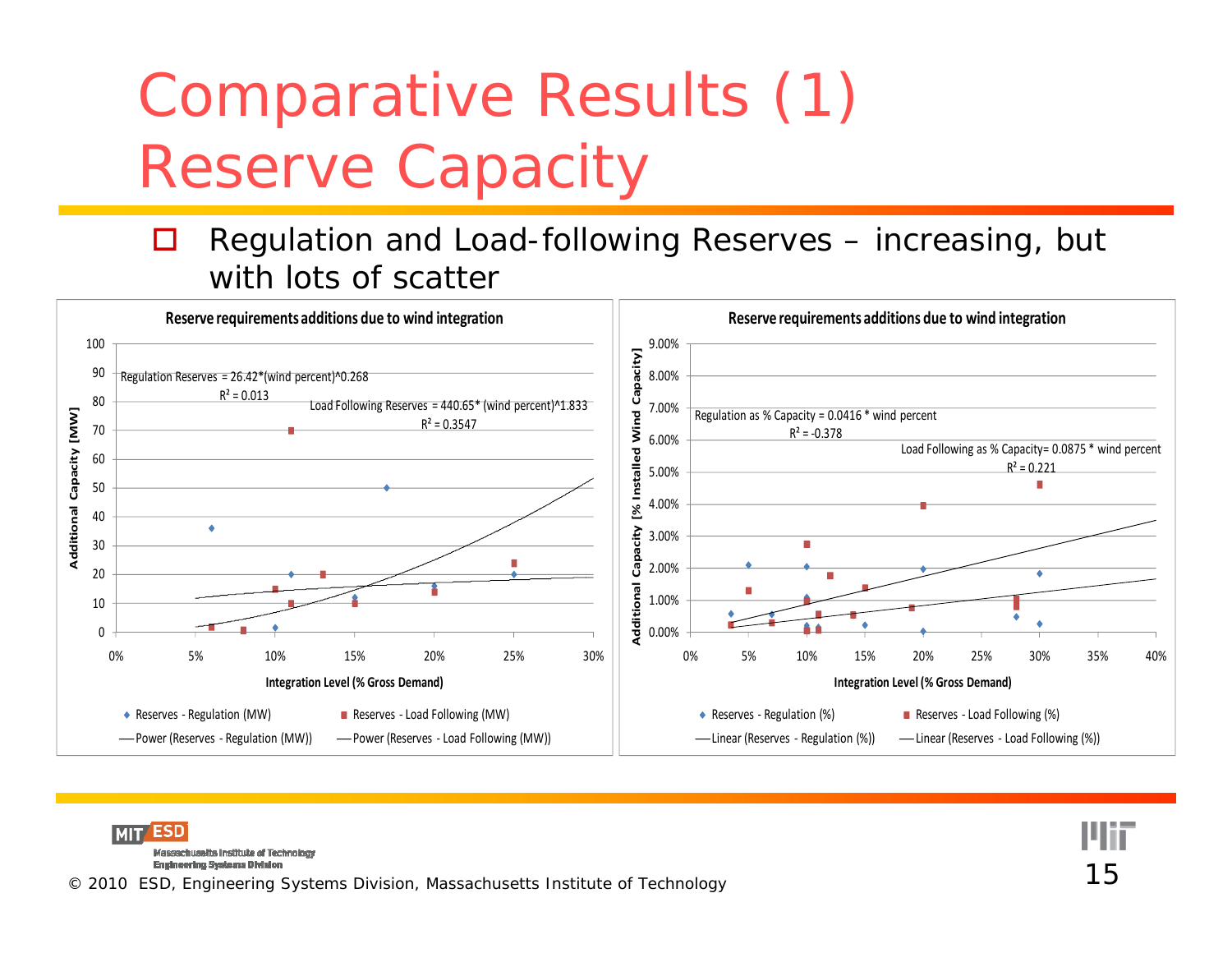# Comparative Results (1) Reserve Capacity

#### $\Box$  Regulation and Load-following Reserves – increasing, but with lots of scatter



**MIT** ESD Massachusalts Institute of Technology Engineering Systems Division<br>© 2010 ESD, Engineering Systems Division, Massachusetts Institute of Technology 15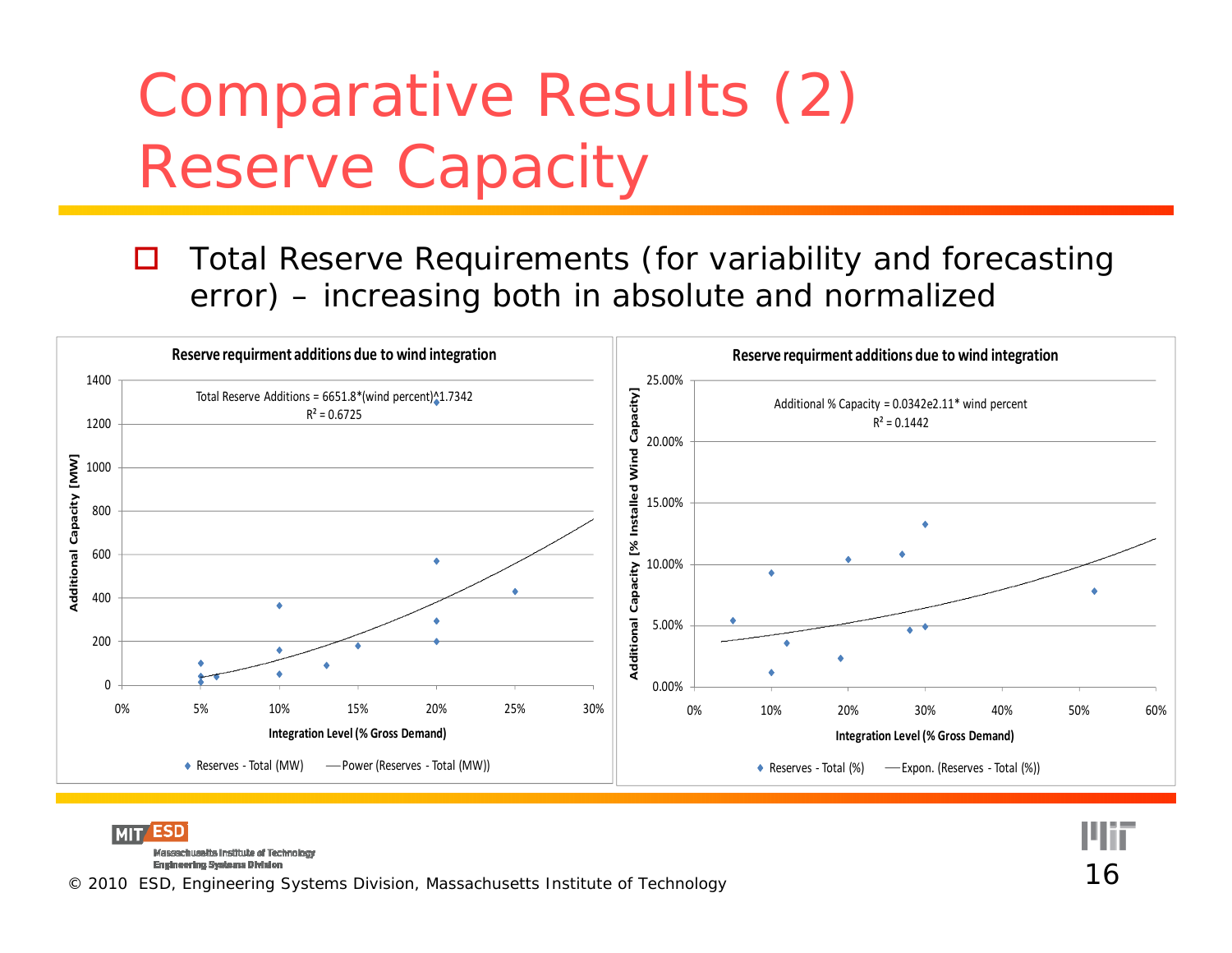# Comparative Results (2) Reserve Capacity

 $\Box$  Total Reserve Requirements (for variability and forecasting error) – $-$  increasing both in absolute and normalizec



ESD Massachusetts Institute of Technology Engineering Systems Division<br>© 2010 ESD, Engineering Systems Division, Massachusetts Institute of Technology 16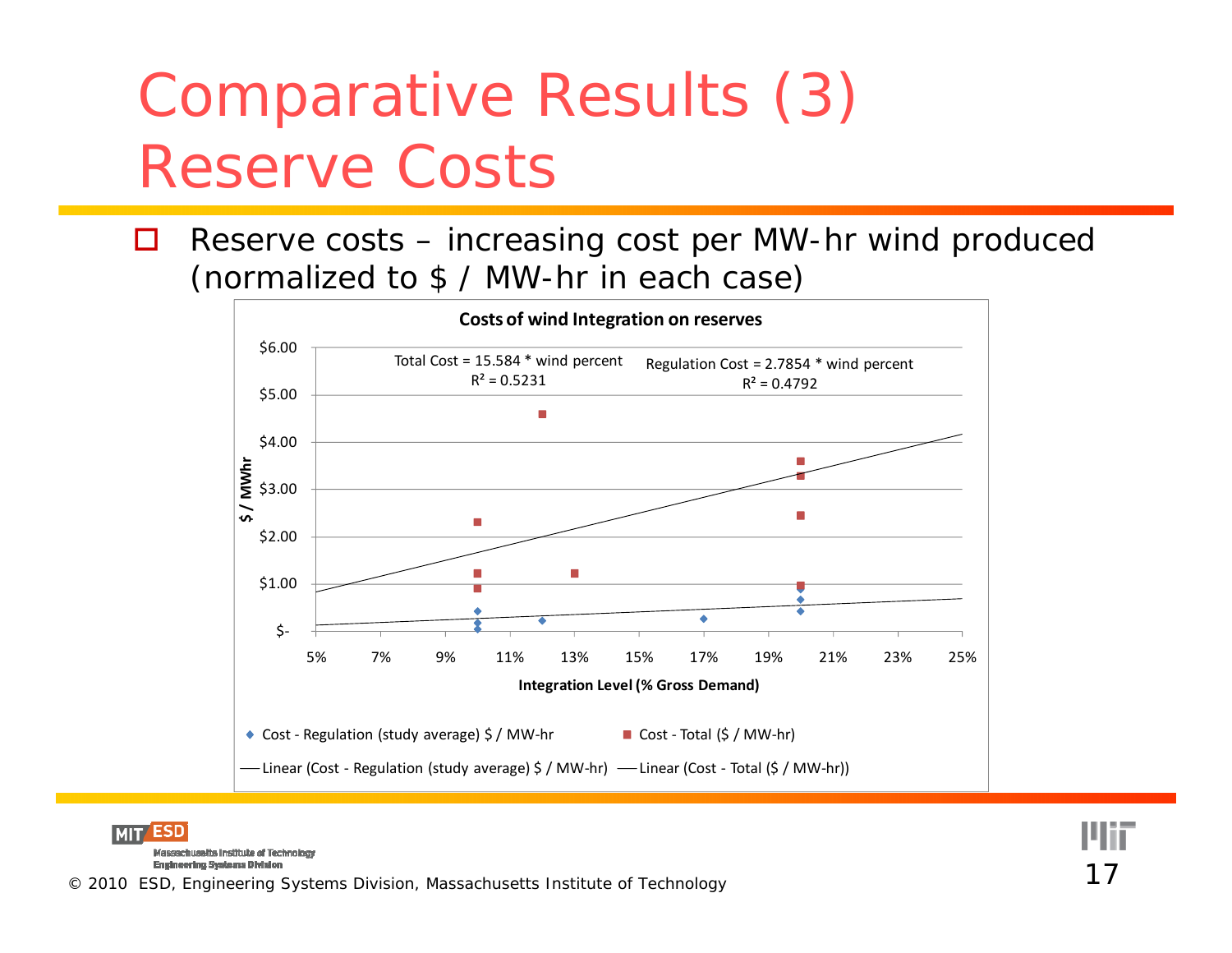# Comparative Results (3) Reserve Costs

 $\Box$  Reserve costs – increasing cost per MW-hr wind produced (normalized to \$ / MW-hr in each case)



**ESD MIT** Massachusetts Institute of Technology **Engineering Systems Division** © 2010 ESD, Engineering Systems Division, Massachusetts Institute of Technology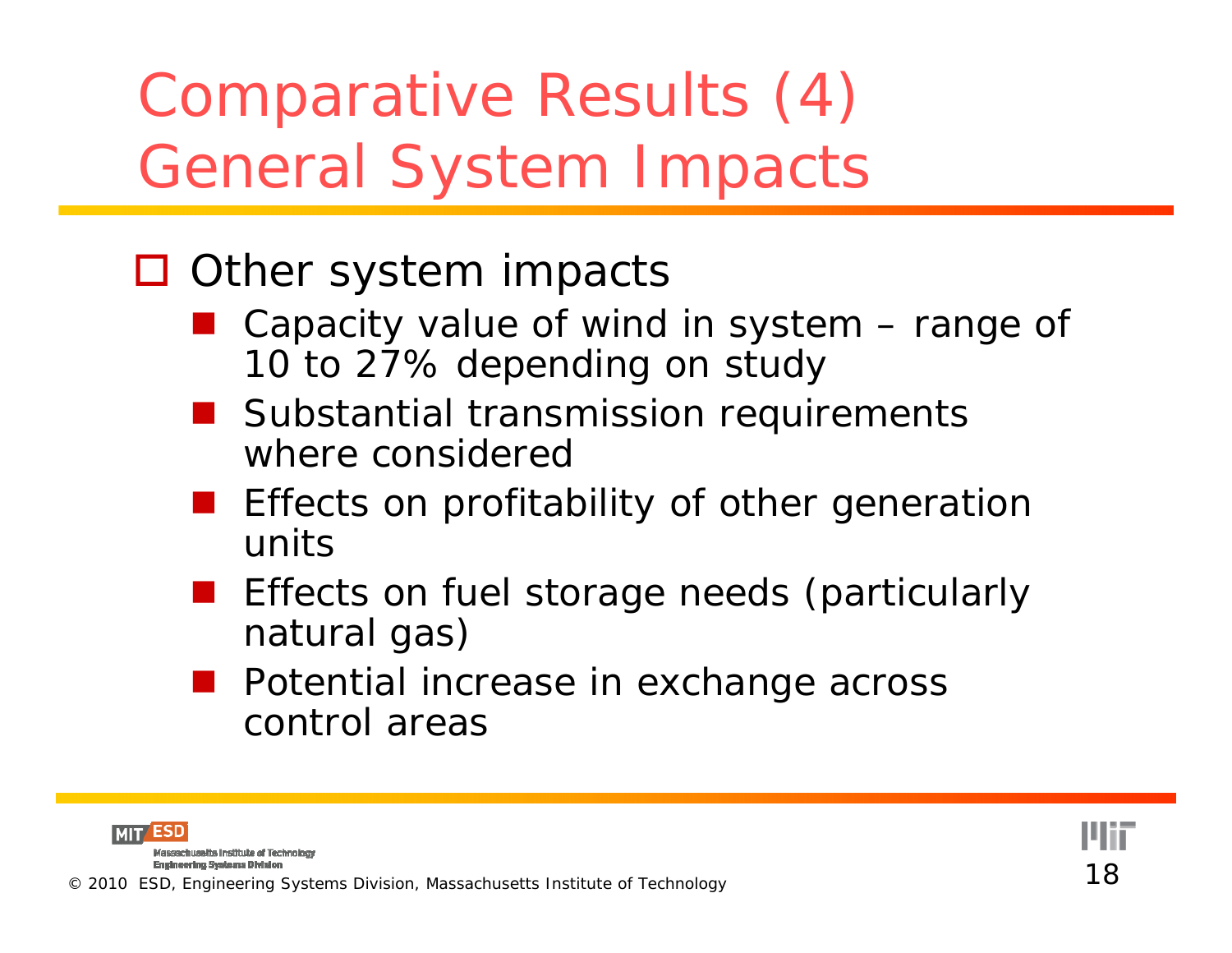Comparative Results (4) General System Impacts

#### □ Other system impacts

- Capacity value of wind in system range of 10 to 27% depending on study
- **Substantial transmission requirements** where considered
- **Example 20 Indias III Starts Example 10 Incredent Profitability of other generation** units
- Effects on fuel storage needs (particularly natural gas)
- **Potential increase in exchange across** control areas

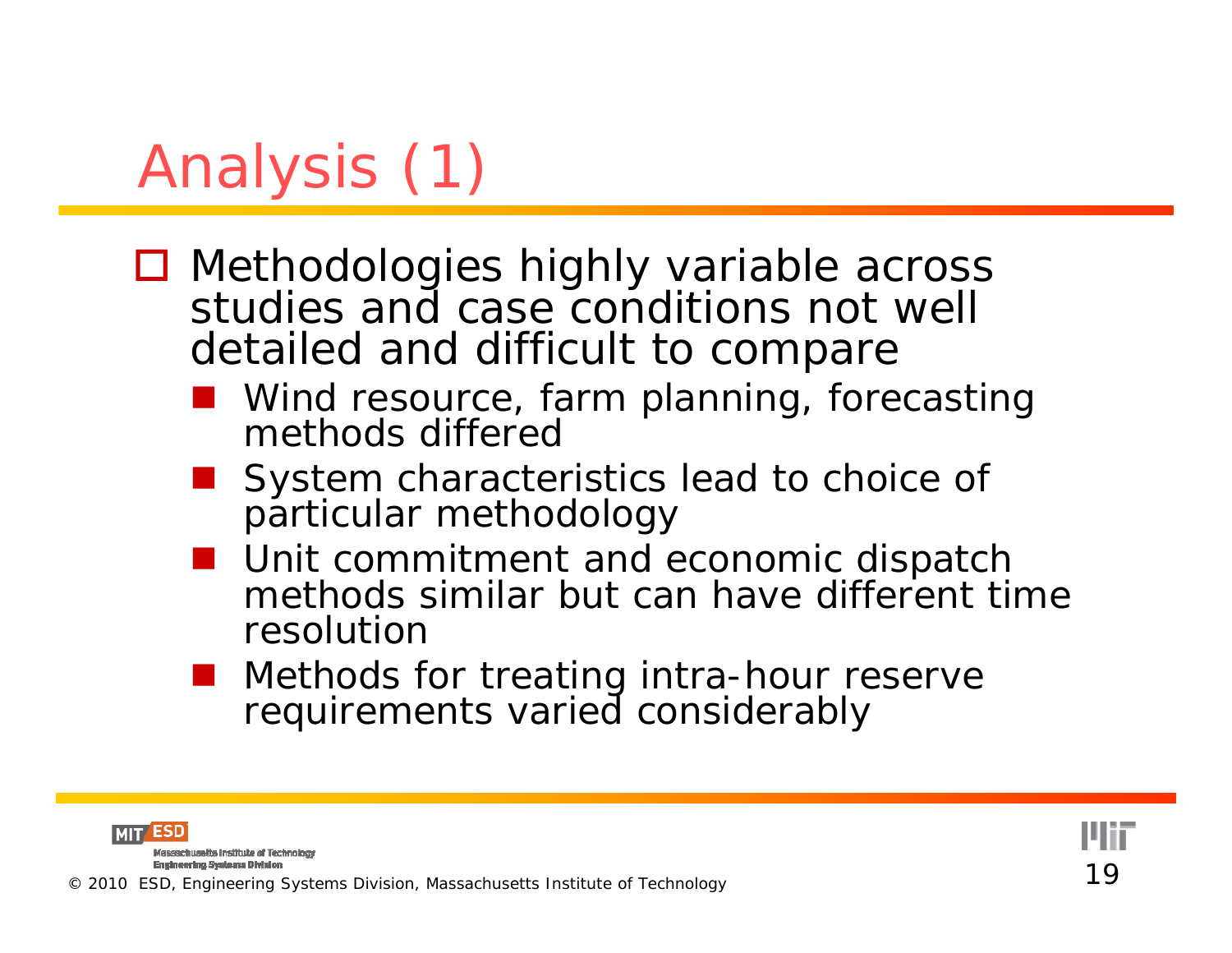# Analysis (1)

- Methodologies highly variable across studies and case conditions not well detailed and difficult to compare
	- Wind resource, farm planning, forecasting methods differed
	- System characteristics lead to choice of particular methodology
	- **Unit commitment and economic dispatch** methods similar but can have different time resolution
	- **Nethods for treating intra-hour reserve** requirements varied considerably

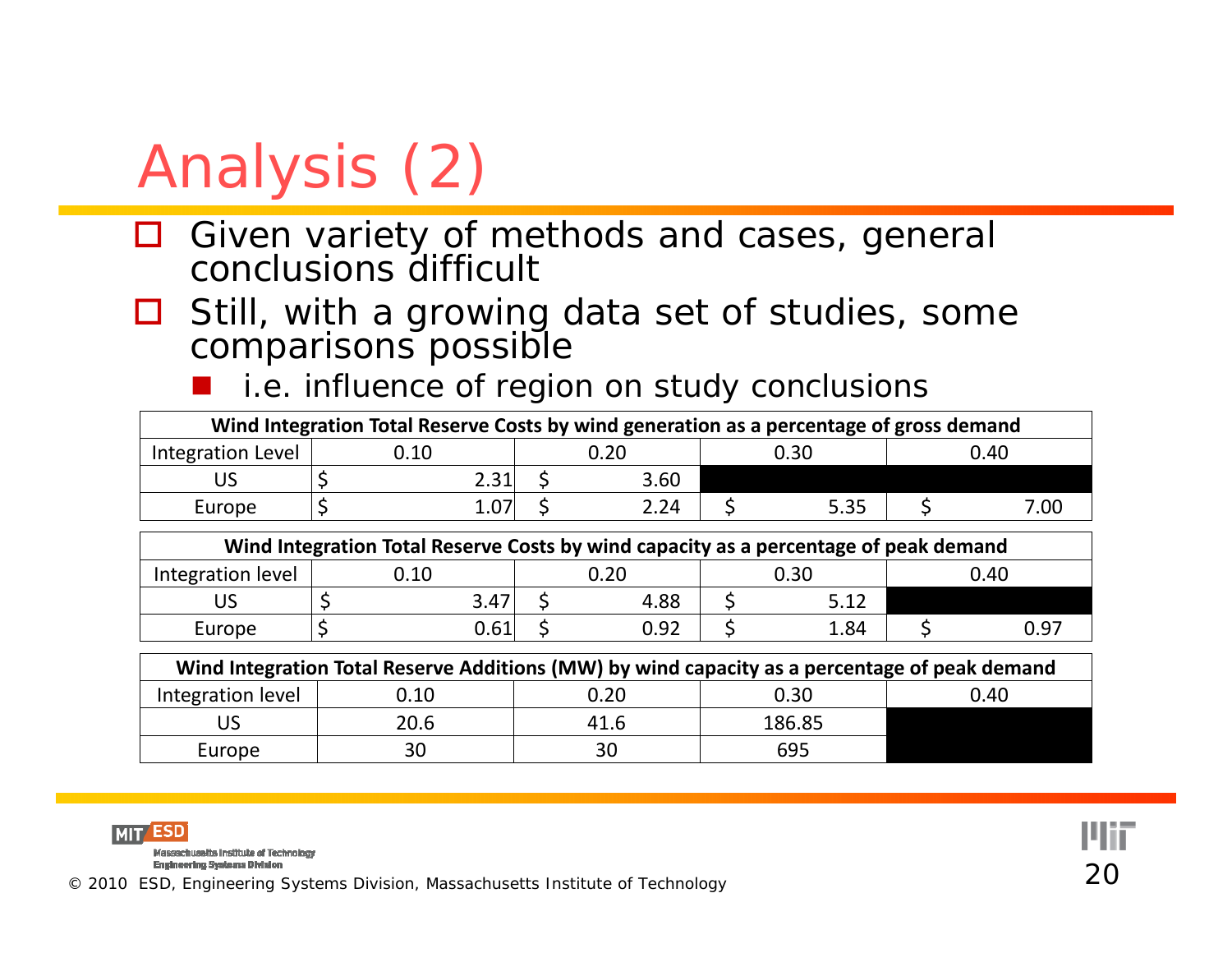# Analysis (2)

- $\Box$  Given variety of methods and cases, general conclusions difficult
- ப Still, with a growing data set of studies, some comparisons possible
	- an<br>Ma i.e. influence of region on study conclusions

| Wind Integration Total Reserve Costs by wind generation as a percentage of gross demand |      |      |      |      |      |      |      |  |
|-----------------------------------------------------------------------------------------|------|------|------|------|------|------|------|--|
| Integration Level                                                                       | .10  | 0.20 |      | 0.30 |      | 0.40 |      |  |
|                                                                                         | 2.31 |      | 3.60 |      |      |      |      |  |
| Europe                                                                                  |      |      | 2.24 |      | 5.35 |      | 7.OC |  |

| Wind Integration Total Reserve Costs by wind capacity as a percentage of peak demand |      |      |  |      |  |      |  |      |
|--------------------------------------------------------------------------------------|------|------|--|------|--|------|--|------|
| Integration level                                                                    | 0.10 |      |  | ገ.20 |  | 0.30 |  | 0.40 |
|                                                                                      |      | 3.47 |  | 4.88 |  | 5.12 |  |      |
| Europe                                                                               |      | 0.61 |  | 0.92 |  | 1.84 |  | 0.97 |

| Wind Integration Total Reserve Additions (MW) by wind capacity as a percentage of peak demand |      |      |        |      |  |  |  |  |  |
|-----------------------------------------------------------------------------------------------|------|------|--------|------|--|--|--|--|--|
| Integration level                                                                             | 0.10 | 0.20 | 0.30   | 0.40 |  |  |  |  |  |
| US                                                                                            | 20.6 | 41.6 | 186.85 |      |  |  |  |  |  |
| Europe                                                                                        | 30   | 30   | 695    |      |  |  |  |  |  |



Massachusetts Institute of Technology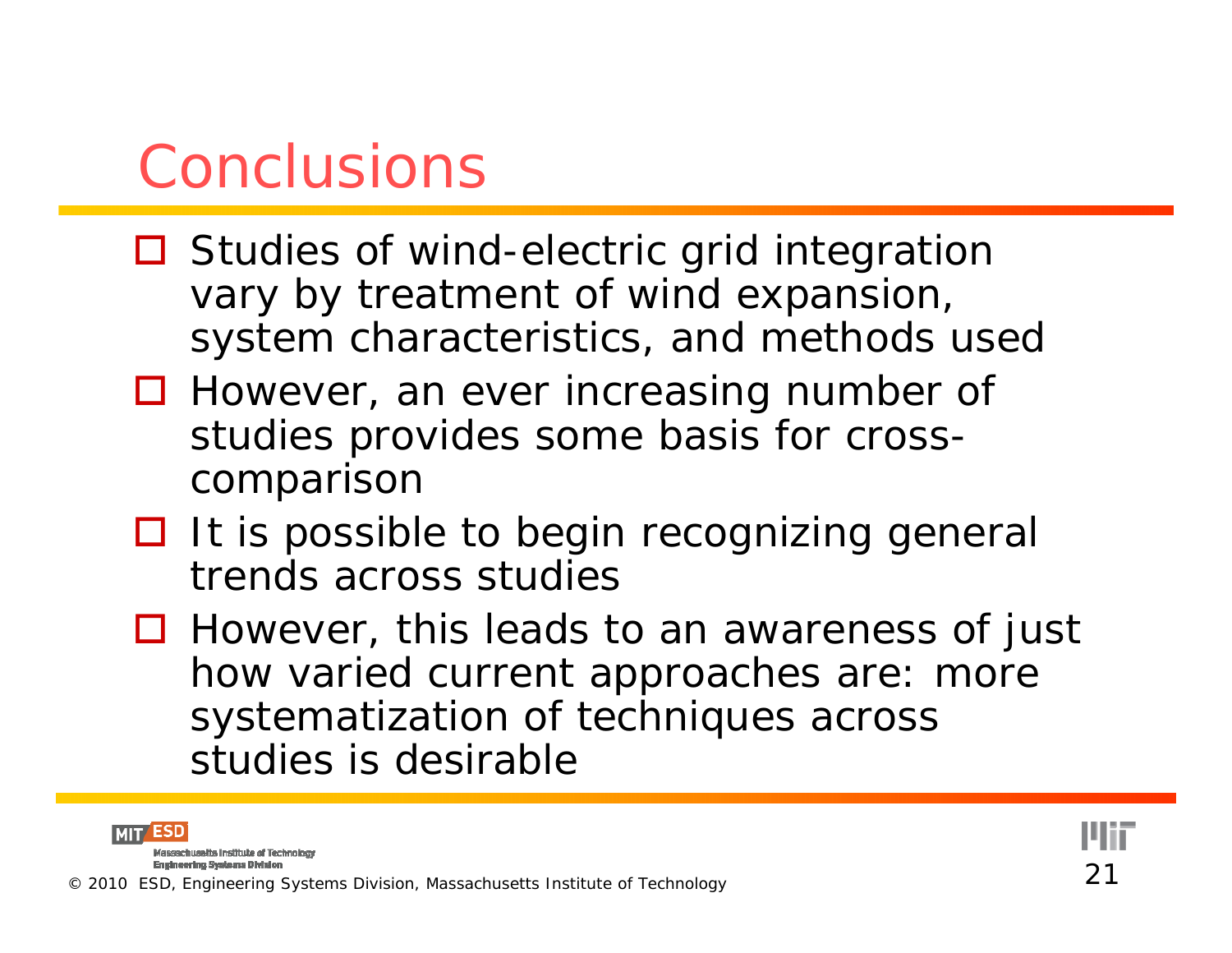#### Conclusions

- **□** Studies of wind-electric grid integration vary by treatment of wind expansion, system characteristics, and methods used
- □ However, an ever increasing number of studies provides some basis for crosscomparison
- $\Box$  It is possible to begin recognizing general trends across studies
- **□** However, this leads to an awareness of just how varied current approaches are: more systematization of techniques across studies is desirable

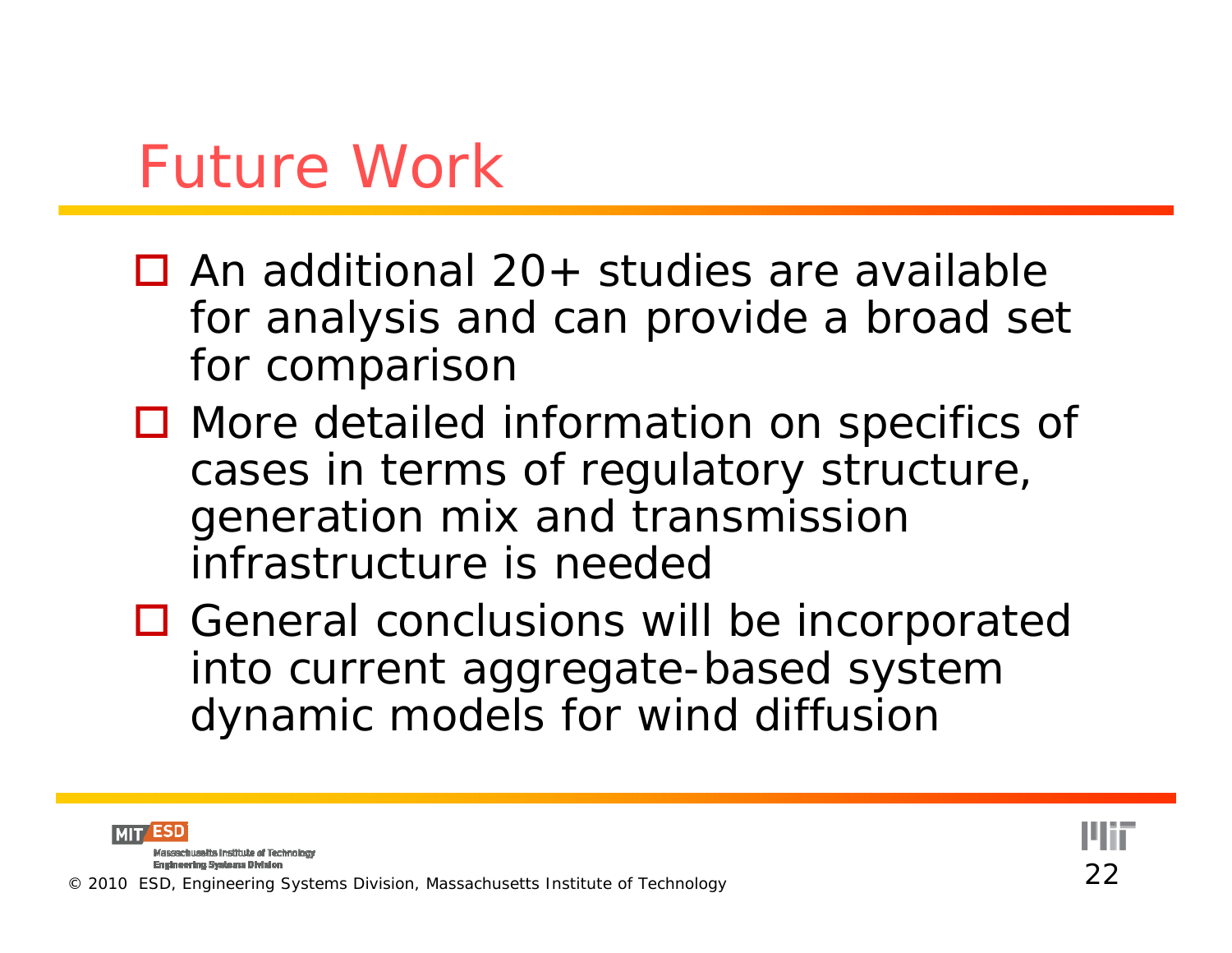#### Future Work

- $\Box$  An additional 20+ studies are available for analysis and can provide a broad set for comparison
- More detailed information on specifics of cases in terms of regulatory structure, generation mix and transmission infrastructure is needed
- **□ General conclusions will be incorporated** into current aggregate-based system dynamic models for wind diffusion

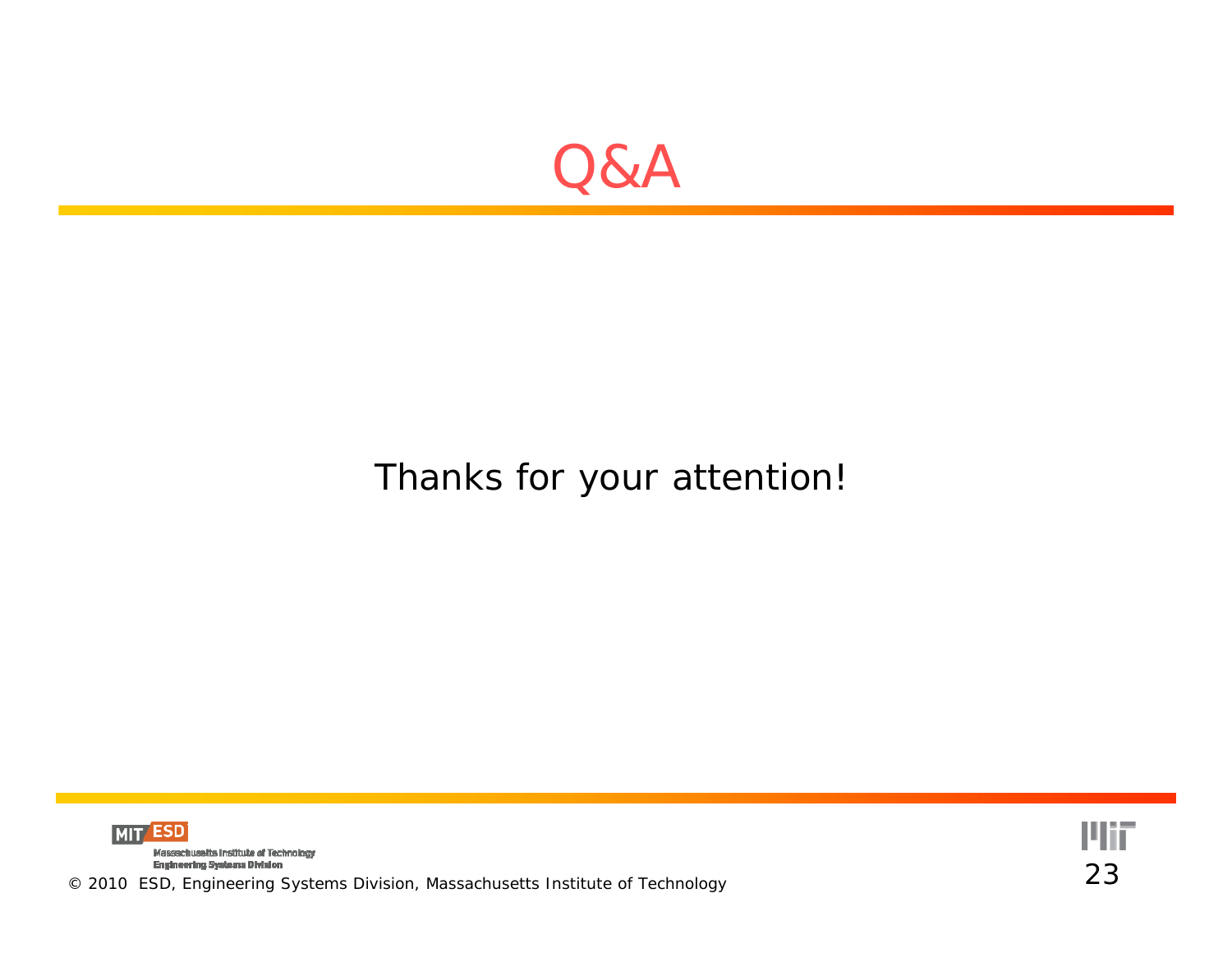

#### Thanks for your attention!



Engineering Systems Division<br>© 2010 ESD, Engineering Systems Division, Massachusetts Institute of Technology 23

**Plii**